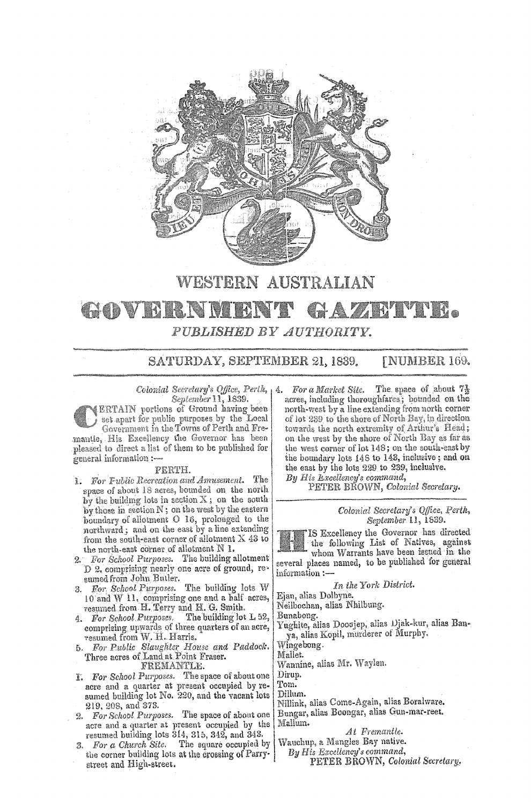

## **WESTERN AUSTRALIAN**  GAZRI TIL GOVBRNI **BACT** *PUBLISHED BY AUTHORITY.*

SATURDAY, SEPTEMBER 21, 1839. [NUMBER 169.

*Colonial Secretary's Office, Perth,*  $\frac{1}{4}$ . *September* 11, 1839.

ERTAIN portions of Ground **having** been set apart for public purposes by the Local Government in the Towns of Perth and Fremantle, His Excellency the Governor has been pleased to direct a list of them to be published for general information :-

## PERTH.

- I. *For Fublic Recreation and Amusement.* The space of about 18 acres, bounded on the north by the building lots in section  $X$ ; on the south by those in section N; on the west by the eastern boundary of allotment O 16, prolonged to the northward; and on the east by a line extending from the south-east corner of allotment  $X$  43 to the north-east corner of allotment N 1.
- 2. *For School Purposes.* The building allotment D 2, comprising nearly one acre of ground, re• sumedfrom John Butler.
- 3. *For School Purposes.* The building lots 10 and W **11,** comprising one and a half acres, resumed from **H.** Terry and **H. G.** Smith.
- 4. For School Purposes. comprising upwards of three quarters of an acre, resumed from W. H. Harris.
- $For Public Slaughter House and Padock.$ Three acres of Land **at** 'Point Fraser.

FREMANTLE.

- I. For School Purposes. The space of about one acre and a quarter at present occupied by resumed building lot No. 220, and the 219, 208, and 373.
- 2. *For School Purposes.* The space of about one **acre** and a quarter at present occupied by the resumed building lots 314, 315, 342, and 343.
- 3. *For a Church Site.* The square occupied the corner building lots at the crossing of Parrystreet and High-street.

*For a Market Site.* The space of about  $7\frac{1}{2}$ acres, including thoroughfares; bounded on the north-west by a line extending from north corner of lot 239 to the shore of North Bay, in direction towards the north extremitv of Arthur's Head; on the west by the shore of North Bay as far as the west corner of lot 148; on the south-east by the boundary lots 148 to 143, inclusive; and on the east by the lots 229 to 239, inclusive.

By His *Excellency's command*,

PETER BROWN, *Colonial Secretary.* 

*Colonial Secretary's Qffece, Perth, September* 11, 1839.

IS Excellency the Governor has directed the following List of Natives, against whom Warrants have been issued in the

several places named, to be published for general information:-

*In the York District.* 

Ejan, alias Dolbyne.

Neilbochan, alias Nhilbung.

Bunabong.<br>Yughite, alias Dooojep, alias Djak-kur, alias Banya, alias Kopil, murderer of Murphy.

Wingebong.

Mallet.

Wannine, alias Mr. Waylen.

Dirup.

Tom.

Dillum. Nillink, alias Come-Again, alias Boralware. Bungar, alias Boongar, alias Gun-mar-reet. Malium.

*At Fremantle.* 

Wauchup, a Mangles Bay native.

*By His Excellency's command,*  PETER BROWN, *Colonial Secretary*,